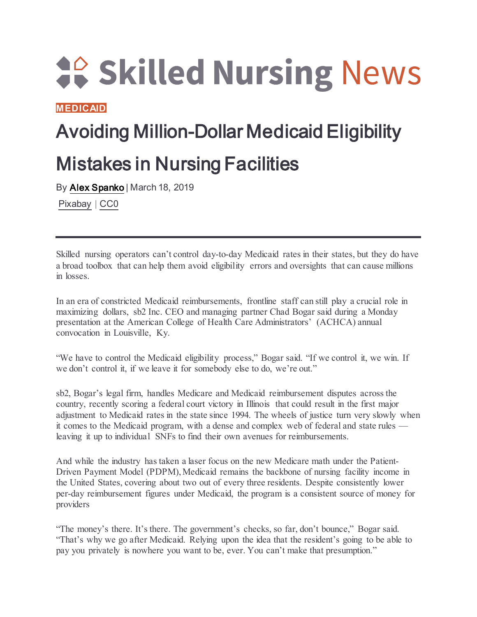**40 Skilled Nursing News** 

**[MEDICAID](https://skillednursingnews.com/category/medicaid/)**

## Avoiding Million-Dollar Medicaid Eligibility Mistakes in Nursing Facilities

By [Alex Spanko](https://skillednursingnews.com/author/aspanko/) | March 18, 2019

[Pixabay](https://pixabay.com/photos/coins-currency-investment-insurance-1523383/) | [CC0](https://creativecommons.org/share-your-work/public-domain/cc0/)

Skilled nursing operators can't control day-to-day Medicaid rates in their states, but they do have a broad toolbox that can help them avoid eligibility errors and oversights that can cause millions in losses.

In an era of constricted Medicaid reimbursements, frontline staff can still play a crucial role in maximizing dollars, sb2 Inc. CEO and managing partner Chad Bogar said during a Monday presentation at the American College of Health Care Administrators' (ACHCA) annual convocation in Louisville, Ky.

"We have to control the Medicaid eligibility process," Bogar said. "If we control it, we win. If we don't control it, if we leave it for somebody else to do, we're out."

sb2, Bogar's legal firm, handles Medicare and Medicaid reimbursement disputes across the country, recently scoring a federal court victory in Illinois that could result in the first major adjustment to Medicaid rates in the state since 1994. The wheels of justice turn very slowly when it comes to the Medicaid program, with a dense and complex web of federal and state rules leaving it up to individual SNFs to find their own avenues for reimbursements.

And while the industry has taken a laser focus on the new Medicare math under the Patient-Driven Payment Model (PDPM), Medicaid remains the backbone of nursing facility income in the United States, covering about two out of every three residents. Despite consistently lower per-day reimbursement figures under Medicaid, the program is a consistent source of money for providers

"The money's there. It's there. The government's checks, so far, don't bounce," Bogar said. "That's why we go after Medicaid. Relying upon the idea that the resident's going to be able to pay you privately is nowhere you want to be, ever. You can't make that presumption."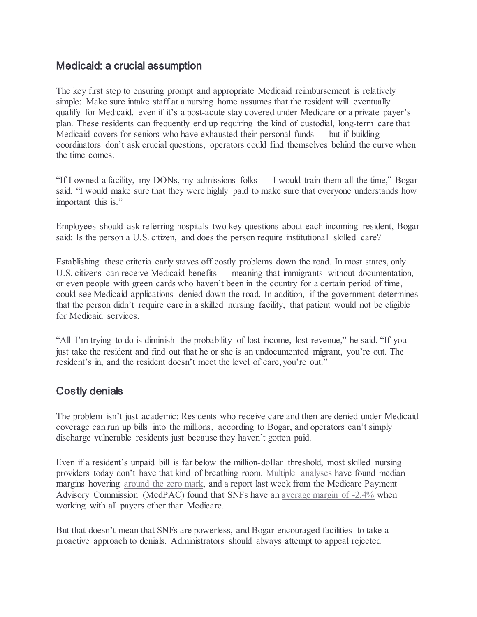## Medicaid: a crucial assumption

The key first step to ensuring prompt and appropriate Medicaid reimbursement is relatively simple: Make sure intake staff at a nursing home assumes that the resident will eventually qualify for Medicaid, even if it's a post-acute stay covered under Medicare or a private payer's plan. These residents can frequently end up requiring the kind of custodial, long-term care that Medicaid covers for seniors who have exhausted their personal funds — but if building coordinators don't ask crucial questions, operators could find themselves behind the curve when the time comes.

"If I owned a facility, my DONs, my admissions folks — I would train them all the time," Bogar said. "I would make sure that they were highly paid to make sure that everyone understands how important this is."

Employees should ask referring hospitals two key questions about each incoming resident, Bogar said: Is the person a U.S. citizen, and does the person require institutional skilled care?

Establishing these criteria early staves off costly problems down the road. In most states, only U.S. citizens can receive Medicaid benefits — meaning that immigrants without documentation, or even people with green cards who haven't been in the country for a certain period of time, could see Medicaid applications denied down the road. In addition, if the government determines that the person didn't require care in a skilled nursing facility, that patient would not be eligible for Medicaid services.

"All I'm trying to do is diminish the probability of lost income, lost revenue," he said. "If you just take the resident and find out that he or she is an undocumented migrant, you're out. The resident's in, and the resident doesn't meet the level of care, you're out."

## Costly denials

The problem isn't just academic: Residents who receive care and then are denied under Medicaid coverage can run up bills into the millions, according to Bogar, and operators can't simply discharge vulnerable residents just because they haven't gotten paid.

Even if a resident's unpaid bill is far below the million-dollar threshold, most skilled nursing providers today don't have that kind of breathing room. [Multiple analyses](https://skillednursingnews.com/2019/02/average-skilled-nursing-facility-loses-money-on-each-resident-every-day/) have found median margins hovering [around the zero mark,](https://skillednursingnews.com/2018/10/even-top-providers-face-financial-peril-median-skilled-nursing-margin-falls-zero/) and a report last week from the Medicare Payment Advisory Commission (MedPAC) found that SNFs have an [average margin of -2.4%](https://skillednursingnews.com/2019/03/medpac-again-calls-for-2b-in-snf-cuts-but-also-urges-caution-amid-pdpm-shift/) when working with all payers other than Medicare.

But that doesn't mean that SNFs are powerless, and Bogar encouraged facilities to take a proactive approach to denials. Administrators should always attempt to appeal rejected